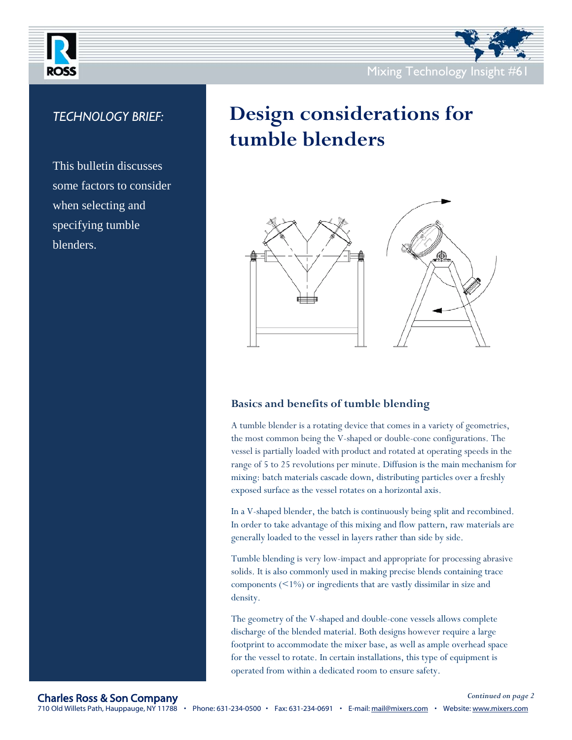

## *TECHNOLOGY BRIEF:*

This bulletin discusses some factors to consider when selecting and specifying tumble blenders.

# **Design considerations for tumble blenders**



## **Basics and benefits of tumble blending**

A tumble blender is a rotating device that comes in a variety of geometries, the most common being the V-shaped or double-cone configurations. The vessel is partially loaded with product and rotated at operating speeds in the range of 5 to 25 revolutions per minute. Diffusion is the main mechanism for mixing: batch materials cascade down, distributing particles over a freshly exposed surface as the vessel rotates on a horizontal axis.

In a V-shaped blender, the batch is continuously being split and recombined. In order to take advantage of this mixing and flow pattern, raw materials are generally loaded to the vessel in layers rather than side by side.

Tumble blending is very low-impact and appropriate for processing abrasive solids. It is also commonly used in making precise blends containing trace components  $($  <1% $)$  or ingredients that are vastly dissimilar in size and density.

The geometry of the V-shaped and double-cone vessels allows complete discharge of the blended material. Both designs however require a large footprint to accommodate the mixer base, as well as ample overhead space for the vessel to rotate. In certain installations, this type of equipment is operated from within a dedicated room to ensure safety.

### Charles Ross & Son Company